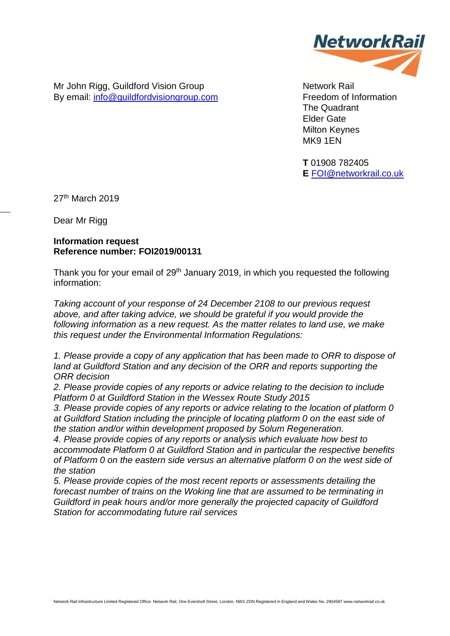

Mr John Rigg, Guildford Vision Group By email: [info@guildfordvisiongroup.com](mailto:info@guildfordvisiongroup.com)

Network Rail Freedom of Information The Quadrant Elder Gate Milton Keynes MK9 1EN

**T** 01908 782405 **E** [FOI@networkrail.co.uk](mailto:FOI@networkrail.co.uk)

27th March 2019

Dear Mr Rigg

## **Information request Reference number: FOI2019/00131**

Thank you for your email of 29<sup>th</sup> January 2019, in which you requested the following information:

*Taking account of your response of 24 December 2108 to our previous request above, and after taking advice, we should be grateful if you would provide the following information as a new request. As the matter relates to land use, we make this request under the Environmental Information Regulations:* 

*1. Please provide a copy of any application that has been made to ORR to dispose of*  land at Guildford Station and any decision of the ORR and reports supporting the *ORR decision* 

*2. Please provide copies of any reports or advice relating to the decision to include Platform 0 at Guildford Station in the Wessex Route Study 2015* 

*3. Please provide copies of any reports or advice relating to the location of platform 0 at Guildford Station including the principle of locating platform 0 on the east side of the station and/or within development proposed by Solum Regeneration.* 

*4. Please provide copies of any reports or analysis which evaluate how best to accommodate Platform 0 at Guildford Station and in particular the respective benefits of Platform 0 on the eastern side versus an alternative platform 0 on the west side of the station* 

*5. Please provide copies of the most recent reports or assessments detailing the forecast number of trains on the Woking line that are assumed to be terminating in Guildford in peak hours and/or more generally the projected capacity of Guildford Station for accommodating future rail services*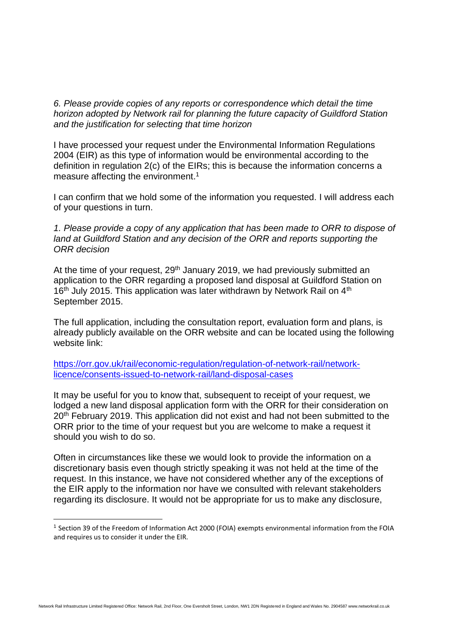*6. Please provide copies of any reports or correspondence which detail the time horizon adopted by Network rail for planning the future capacity of Guildford Station and the justification for selecting that time horizon*

I have processed your request under the Environmental Information Regulations 2004 (EIR) as this type of information would be environmental according to the definition in regulation 2(c) of the EIRs; this is because the information concerns a measure affecting the environment.<sup>1</sup>

I can confirm that we hold some of the information you requested. I will address each of your questions in turn.

*1. Please provide a copy of any application that has been made to ORR to dispose of*  land at Guildford Station and any decision of the ORR and reports supporting the *ORR decision* 

At the time of your request, 29<sup>th</sup> January 2019, we had previously submitted an application to the ORR regarding a proposed land disposal at Guildford Station on 16<sup>th</sup> July 2015. This application was later withdrawn by Network Rail on 4<sup>th</sup> September 2015.

The full application, including the consultation report, evaluation form and plans, is already publicly available on the ORR website and can be located using the following website link:

[https://orr.gov.uk/rail/economic-regulation/regulation-of-network-rail/network](https://orr.gov.uk/rail/economic-regulation/regulation-of-network-rail/network-licence/consents-issued-to-network-rail/land-disposal-cases)[licence/consents-issued-to-network-rail/land-disposal-cases](https://orr.gov.uk/rail/economic-regulation/regulation-of-network-rail/network-licence/consents-issued-to-network-rail/land-disposal-cases)

It may be useful for you to know that, subsequent to receipt of your request, we lodged a new land disposal application form with the ORR for their consideration on 20<sup>th</sup> February 2019. This application did not exist and had not been submitted to the ORR prior to the time of your request but you are welcome to make a request it should you wish to do so.

Often in circumstances like these we would look to provide the information on a discretionary basis even though strictly speaking it was not held at the time of the request. In this instance, we have not considered whether any of the exceptions of the EIR apply to the information nor have we consulted with relevant stakeholders regarding its disclosure. It would not be appropriate for us to make any disclosure,

<sup>1</sup> Section 39 of the Freedom of Information Act 2000 (FOIA) exempts environmental information from the FOIA and requires us to consider it under the EIR.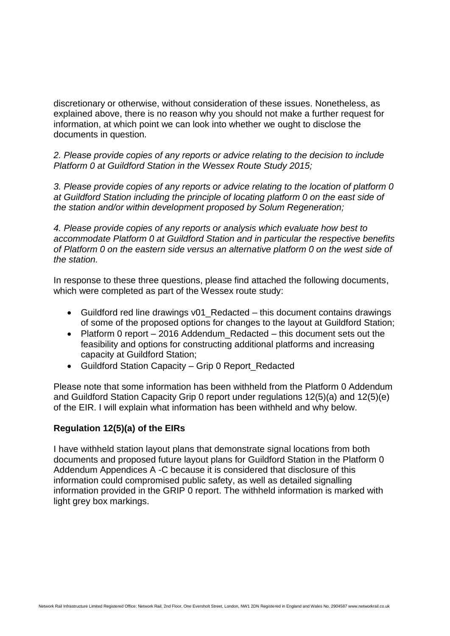discretionary or otherwise, without consideration of these issues. Nonetheless, as explained above, there is no reason why you should not make a further request for information, at which point we can look into whether we ought to disclose the documents in question.

*2. Please provide copies of any reports or advice relating to the decision to include Platform 0 at Guildford Station in the Wessex Route Study 2015;*

*3. Please provide copies of any reports or advice relating to the location of platform 0 at Guildford Station including the principle of locating platform 0 on the east side of the station and/or within development proposed by Solum Regeneration;*

*4. Please provide copies of any reports or analysis which evaluate how best to accommodate Platform 0 at Guildford Station and in particular the respective benefits of Platform 0 on the eastern side versus an alternative platform 0 on the west side of the station.*

In response to these three questions, please find attached the following documents, which were completed as part of the Wessex route study:

- Guildford red line drawings v01 Redacted this document contains drawings of some of the proposed options for changes to the layout at Guildford Station;
- Platform 0 report 2016 Addendum Redacted this document sets out the feasibility and options for constructing additional platforms and increasing capacity at Guildford Station;
- Guildford Station Capacity Grip 0 Report Redacted

Please note that some information has been withheld from the Platform 0 Addendum and Guildford Station Capacity Grip 0 report under regulations 12(5)(a) and 12(5)(e) of the EIR. I will explain what information has been withheld and why below.

## **Regulation 12(5)(a) of the EIRs**

I have withheld station layout plans that demonstrate signal locations from both documents and proposed future layout plans for Guildford Station in the Platform 0 Addendum Appendices A -C because it is considered that disclosure of this information could compromised public safety, as well as detailed signalling information provided in the GRIP 0 report. The withheld information is marked with light grey box markings.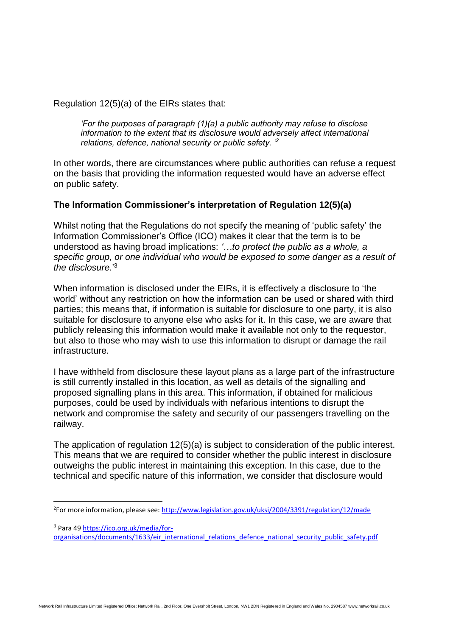Regulation 12(5)(a) of the EIRs states that:

*'For the purposes of paragraph (1)(a) a public authority may refuse to disclose information to the extent that its disclosure would adversely affect international relations, defence, national security or public safety. '<sup>2</sup>*

In other words, there are circumstances where public authorities can refuse a request on the basis that providing the information requested would have an adverse effect on public safety.

## **The Information Commissioner's interpretation of Regulation 12(5)(a)**

Whilst noting that the Regulations do not specify the meaning of 'public safety' the Information Commissioner's Office (ICO) makes it clear that the term is to be understood as having broad implications: *'…to protect the public as a whole, a specific group, or one individual who would be exposed to some danger as a result of the disclosure.*' 3

When information is disclosed under the EIRs, it is effectively a disclosure to 'the world' without any restriction on how the information can be used or shared with third parties; this means that, if information is suitable for disclosure to one party, it is also suitable for disclosure to anyone else who asks for it. In this case, we are aware that publicly releasing this information would make it available not only to the requestor, but also to those who may wish to use this information to disrupt or damage the rail infrastructure.

I have withheld from disclosure these layout plans as a large part of the infrastructure is still currently installed in this location, as well as details of the signalling and proposed signalling plans in this area. This information, if obtained for malicious purposes, could be used by individuals with nefarious intentions to disrupt the network and compromise the safety and security of our passengers travelling on the railway.

The application of regulation 12(5)(a) is subject to consideration of the public interest. This means that we are required to consider whether the public interest in disclosure outweighs the public interest in maintaining this exception. In this case, due to the technical and specific nature of this information, we consider that disclosure would

<sup>&</sup>lt;sup>2</sup>For more information, please see:<http://www.legislation.gov.uk/uksi/2004/3391/regulation/12/made>

<sup>3</sup> Para 4[9 https://ico.org.uk/media/for-](https://ico.org.uk/media/for-organisations/documents/1633/eir_international_relations_defence_national_security_public_safety.pdf)

[organisations/documents/1633/eir\\_international\\_relations\\_defence\\_national\\_security\\_public\\_safety.pdf](https://ico.org.uk/media/for-organisations/documents/1633/eir_international_relations_defence_national_security_public_safety.pdf)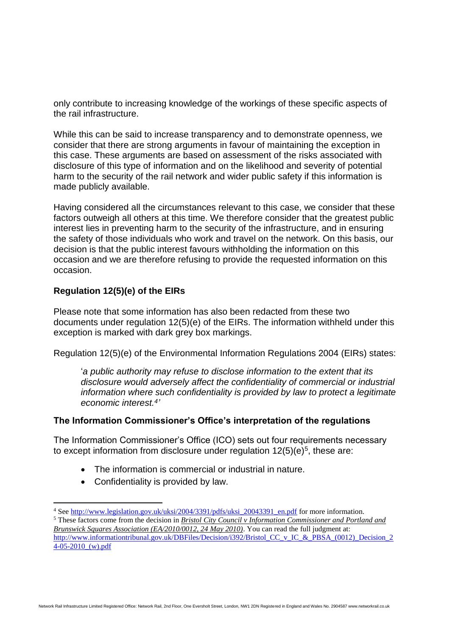only contribute to increasing knowledge of the workings of these specific aspects of the rail infrastructure.

While this can be said to increase transparency and to demonstrate openness, we consider that there are strong arguments in favour of maintaining the exception in this case. These arguments are based on assessment of the risks associated with disclosure of this type of information and on the likelihood and severity of potential harm to the security of the rail network and wider public safety if this information is made publicly available.

Having considered all the circumstances relevant to this case, we consider that these factors outweigh all others at this time. We therefore consider that the greatest public interest lies in preventing harm to the security of the infrastructure, and in ensuring the safety of those individuals who work and travel on the network. On this basis, our decision is that the public interest favours withholding the information on this occasion and we are therefore refusing to provide the requested information on this occasion.

## **Regulation 12(5)(e) of the EIRs**

Please note that some information has also been redacted from these two documents under regulation 12(5)(e) of the EIRs. The information withheld under this exception is marked with dark grey box markings.

Regulation 12(5)(e) of the Environmental Information Regulations 2004 (EIRs) states:

'*a public authority may refuse to disclose information to the extent that its disclosure would adversely affect the confidentiality of commercial or industrial information where such confidentiality is provided by law to protect a legitimate economic interest.<sup>4</sup> '*

## **The Information Commissioner's Office's interpretation of the regulations**

The Information Commissioner's Office (ICO) sets out four requirements necessary to except information from disclosure under regulation  $12(5)(e)^5$ , these are:

- The information is commercial or industrial in nature.
- Confidentiality is provided by law.

<sup>4</sup> Se[e http://www.legislation.gov.uk/uksi/2004/3391/pdfs/uksi\\_20043391\\_en.pdf](http://www.legislation.gov.uk/uksi/2004/3391/pdfs/uksi_20043391_en.pdf) for more information.

<sup>5</sup> These factors come from the decision in *Bristol City Council v Information Commissioner and Portland and Brunswick Squares Association (EA/2010/0012, 24 May 2010)*. You can read the full judgment at: [http://www.informationtribunal.gov.uk/DBFiles/Decision/i392/Bristol\\_CC\\_v\\_IC\\_&\\_PBSA\\_\(0012\)\\_Decision\\_2](http://www.informationtribunal.gov.uk/DBFiles/Decision/i392/Bristol_CC_v_IC_&_PBSA_(0012)_Decision_24-05-2010_(w).pdf)  $4-05-2010$  (w).pdf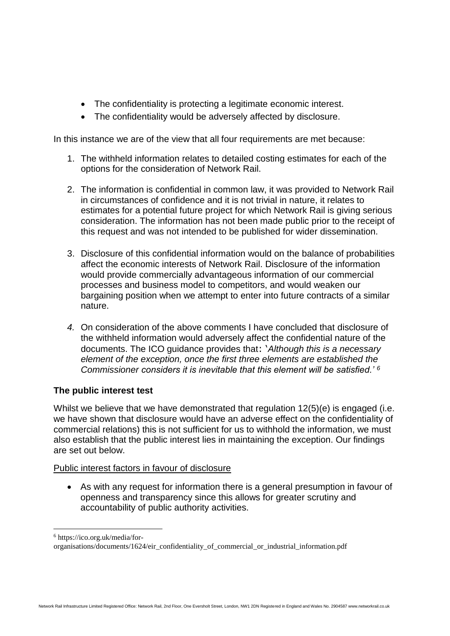- The confidentiality is protecting a legitimate economic interest.
- The confidentiality would be adversely affected by disclosure.

In this instance we are of the view that all four requirements are met because:

- 1. The withheld information relates to detailed costing estimates for each of the options for the consideration of Network Rail.
- 2. The information is confidential in common law, it was provided to Network Rail in circumstances of confidence and it is not trivial in nature, it relates to estimates for a potential future project for which Network Rail is giving serious consideration. The information has not been made public prior to the receipt of this request and was not intended to be published for wider dissemination.
- 3. Disclosure of this confidential information would on the balance of probabilities affect the economic interests of Network Rail. Disclosure of the information would provide commercially advantageous information of our commercial processes and business model to competitors, and would weaken our bargaining position when we attempt to enter into future contracts of a similar nature.
- *4.* On consideration of the above comments I have concluded that disclosure of the withheld information would adversely affect the confidential nature of the documents. The ICO guidance provides that: '*Although this is a necessary element of the exception, once the first three elements are established the Commissioner considers it is inevitable that this element will be satisfied.' <sup>6</sup>*

# **The public interest test**

Whilst we believe that we have demonstrated that regulation 12(5)(e) is engaged (i.e. we have shown that disclosure would have an adverse effect on the confidentiality of commercial relations) this is not sufficient for us to withhold the information, we must also establish that the public interest lies in maintaining the exception. Our findings are set out below.

# Public interest factors in favour of disclosure

• As with any request for information there is a general presumption in favour of openness and transparency since this allows for greater scrutiny and accountability of public authority activities.

<sup>6</sup> https://ico.org.uk/media/for-

organisations/documents/1624/eir\_confidentiality\_of\_commercial\_or\_industrial\_information.pdf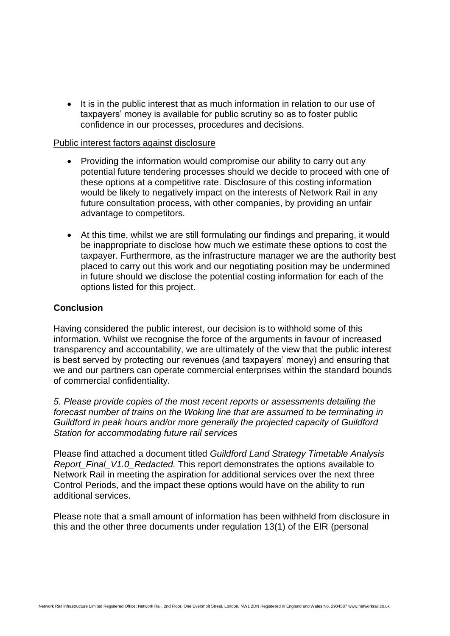• It is in the public interest that as much information in relation to our use of taxpayers' money is available for public scrutiny so as to foster public confidence in our processes, procedures and decisions.

#### Public interest factors against disclosure

- Providing the information would compromise our ability to carry out any potential future tendering processes should we decide to proceed with one of these options at a competitive rate. Disclosure of this costing information would be likely to negatively impact on the interests of Network Rail in any future consultation process, with other companies, by providing an unfair advantage to competitors.
- At this time, whilst we are still formulating our findings and preparing, it would be inappropriate to disclose how much we estimate these options to cost the taxpayer. Furthermore, as the infrastructure manager we are the authority best placed to carry out this work and our negotiating position may be undermined in future should we disclose the potential costing information for each of the options listed for this project.

#### **Conclusion**

Having considered the public interest, our decision is to withhold some of this information. Whilst we recognise the force of the arguments in favour of increased transparency and accountability, we are ultimately of the view that the public interest is best served by protecting our revenues (and taxpayers' money) and ensuring that we and our partners can operate commercial enterprises within the standard bounds of commercial confidentiality.

*5. Please provide copies of the most recent reports or assessments detailing the forecast number of trains on the Woking line that are assumed to be terminating in Guildford in peak hours and/or more generally the projected capacity of Guildford Station for accommodating future rail services* 

Please find attached a document titled *Guildford Land Strategy Timetable Analysis Report\_Final\_V1.0\_Redacted.* This report demonstrates the options available to Network Rail in meeting the aspiration for additional services over the next three Control Periods, and the impact these options would have on the ability to run additional services.

Please note that a small amount of information has been withheld from disclosure in this and the other three documents under regulation 13(1) of the EIR (personal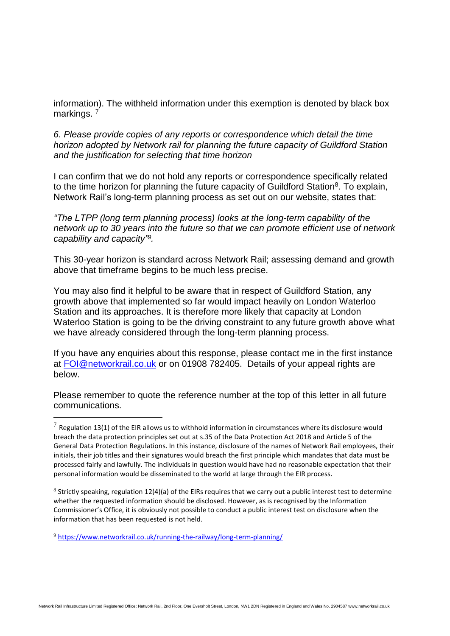information). The withheld information under this exemption is denoted by black box markings.<sup>7</sup>

*6. Please provide copies of any reports or correspondence which detail the time horizon adopted by Network rail for planning the future capacity of Guildford Station and the justification for selecting that time horizon*

I can confirm that we do not hold any reports or correspondence specifically related to the time horizon for planning the future capacity of Guildford Station<sup>8</sup>. To explain, Network Rail's long-term planning process as set out on our website, states that:

*"The LTPP (long term planning process) looks at the long-term capability of the network up to 30 years into the future so that we can promote efficient use of network capability and capacity" 9 .*

This 30-year horizon is standard across Network Rail; assessing demand and growth above that timeframe begins to be much less precise.

You may also find it helpful to be aware that in respect of Guildford Station, any growth above that implemented so far would impact heavily on London Waterloo Station and its approaches. It is therefore more likely that capacity at London Waterloo Station is going to be the driving constraint to any future growth above what we have already considered through the long-term planning process.

If you have any enquiries about this response, please contact me in the first instance at [FOI@networkrail.co.uk](mailto:FOI@networkrail.co.uk) or on 01908 782405. Details of your appeal rights are below.

Please remember to quote the reference number at the top of this letter in all future communications.

 $8$  Strictly speaking, regulation 12(4)(a) of the EIRs requires that we carry out a public interest test to determine whether the requested information should be disclosed. However, as is recognised by the Information Commissioner's Office, it is obviously not possible to conduct a public interest test on disclosure when the information that has been requested is not held.

<sup>9</sup> <https://www.networkrail.co.uk/running-the-railway/long-term-planning/>

 $^7$  Regulation 13(1) of the EIR allows us to withhold information in circumstances where its disclosure would breach the data protection principles set out at s.35 of the Data Protection Act 2018 and Article 5 of the General Data Protection Regulations. In this instance, disclosure of the names of Network Rail employees, their initials, their job titles and their signatures would breach the first principle which mandates that data must be processed fairly and lawfully. The individuals in question would have had no reasonable expectation that their personal information would be disseminated to the world at large through the EIR process.